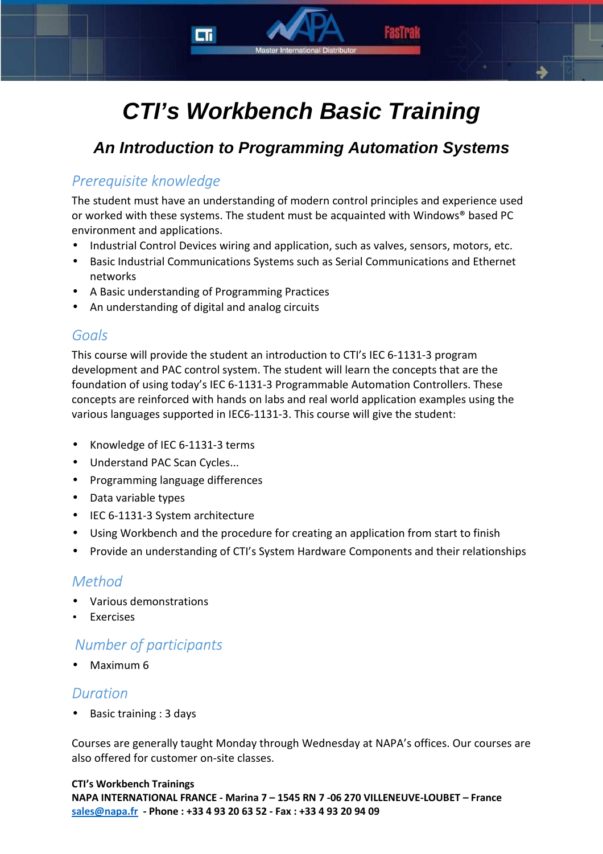# **CTI's Workbench Basic Training**

# **An Introduction to Programming Automation Systems**

## *Prerequisite knowledge*

The student must have an understanding of modern control principles and experience used or worked with these systems. The student must be acquainted with Windows® based PC environment and applications.

- Industrial Control Devices wiring and application, such as valves, sensors, motors, etc.
- Basic Industrial Communications Systems such as Serial Communications and Ethernet networks
- A Basic understanding of Programming Practices
- An understanding of digital and analog circuits

#### *Goals*

This course will provide the student an introduction to CTI's IEC 6-1131-3 program development and PAC control system. The student will learn the concepts that are the foundation of using today's IEC 6-1131-3 Programmable Automation Controllers. These concepts are reinforced with hands on labs and real world application examples using the various languages supported in IEC6-1131-3. This course will give the student:

- Knowledge of IEC 6-1131-3 terms
- Understand PAC Scan Cycles...
- Programming language differences
- Data variable types
- IEC 6-1131-3 System architecture
- Using Workbench and the procedure for creating an application from start to finish
- Provide an understanding of CTI's System Hardware Components and their relationships

#### *Method*

- Various demonstrations
- **Exercises**

### *Number of participants*

• Maximum 6

#### *Duration*

• Basic training : 3 days

Courses are generally taught Monday through Wednesday at NAPA's offices. Our courses are also offered for customer on-site classes.